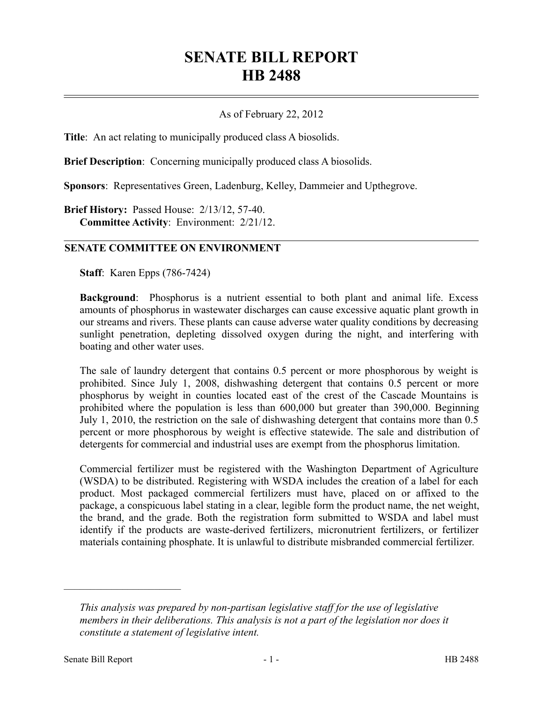## **SENATE BILL REPORT HB 2488**

## As of February 22, 2012

**Title**: An act relating to municipally produced class A biosolids.

**Brief Description**: Concerning municipally produced class A biosolids.

**Sponsors**: Representatives Green, Ladenburg, Kelley, Dammeier and Upthegrove.

**Brief History:** Passed House: 2/13/12, 57-40. **Committee Activity**: Environment: 2/21/12.

## **SENATE COMMITTEE ON ENVIRONMENT**

**Staff**: Karen Epps (786-7424)

**Background**: Phosphorus is a nutrient essential to both plant and animal life. Excess amounts of phosphorus in wastewater discharges can cause excessive aquatic plant growth in our streams and rivers. These plants can cause adverse water quality conditions by decreasing sunlight penetration, depleting dissolved oxygen during the night, and interfering with boating and other water uses.

The sale of laundry detergent that contains 0.5 percent or more phosphorous by weight is prohibited. Since July 1, 2008, dishwashing detergent that contains 0.5 percent or more phosphorus by weight in counties located east of the crest of the Cascade Mountains is prohibited where the population is less than 600,000 but greater than 390,000. Beginning July 1, 2010, the restriction on the sale of dishwashing detergent that contains more than 0.5 percent or more phosphorous by weight is effective statewide. The sale and distribution of detergents for commercial and industrial uses are exempt from the phosphorus limitation.

Commercial fertilizer must be registered with the Washington Department of Agriculture (WSDA) to be distributed. Registering with WSDA includes the creation of a label for each product. Most packaged commercial fertilizers must have, placed on or affixed to the package, a conspicuous label stating in a clear, legible form the product name, the net weight, the brand, and the grade. Both the registration form submitted to WSDA and label must identify if the products are waste-derived fertilizers, micronutrient fertilizers, or fertilizer materials containing phosphate. It is unlawful to distribute misbranded commercial fertilizer.

––––––––––––––––––––––

*This analysis was prepared by non-partisan legislative staff for the use of legislative members in their deliberations. This analysis is not a part of the legislation nor does it constitute a statement of legislative intent.*